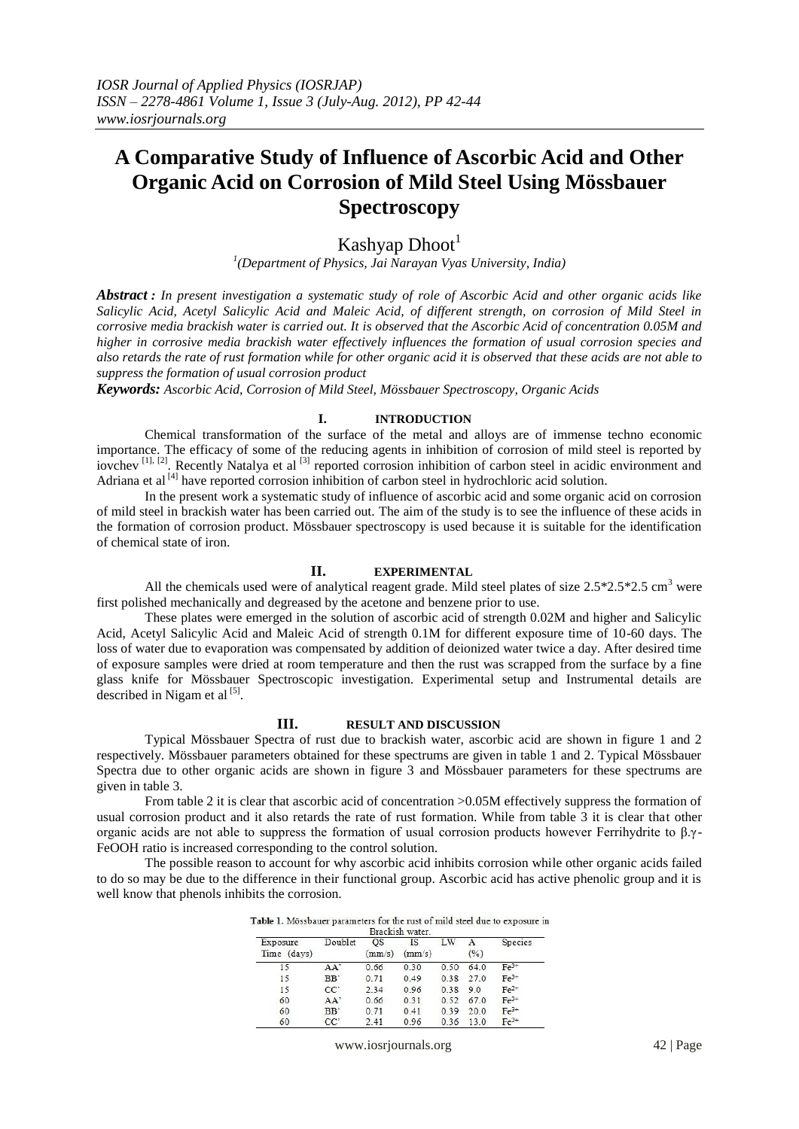# **A Comparative Study of Influence of Ascorbic Acid and Other Organic Acid on Corrosion of Mild Steel Using Mössbauer Spectroscopy**

# Kashyap Dhoot<sup>1</sup>

*1 (Department of Physics, Jai Narayan Vyas University, India)*

*Abstract : In present investigation a systematic study of role of Ascorbic Acid and other organic acids like Salicylic Acid, Acetyl Salicylic Acid and Maleic Acid, of different strength, on corrosion of Mild Steel in corrosive media brackish water is carried out. It is observed that the Ascorbic Acid of concentration 0.05M and higher in corrosive media brackish water effectively influences the formation of usual corrosion species and also retards the rate of rust formation while for other organic acid it is observed that these acids are not able to suppress the formation of usual corrosion product*

*Keywords: Ascorbic Acid, Corrosion of Mild Steel, Mössbauer Spectroscopy, Organic Acids*

## **I. INTRODUCTION**

Chemical transformation of the surface of the metal and alloys are of immense techno economic importance. The efficacy of some of the reducing agents in inhibition of corrosion of mild steel is reported by iovchev<sup>[1], [2]</sup>. Recently Natalya et al <sup>[3]</sup> reported corrosion inhibition of carbon steel in acidic environment and Adriana et al <sup>[4]</sup> have reported corrosion inhibition of carbon steel in hydrochloric acid solution.

In the present work a systematic study of influence of ascorbic acid and some organic acid on corrosion of mild steel in brackish water has been carried out. The aim of the study is to see the influence of these acids in the formation of corrosion product. Mössbauer spectroscopy is used because it is suitable for the identification of chemical state of iron.

#### **II. EXPERIMENTAL**

All the chemicals used were of analytical reagent grade. Mild steel plates of size  $2.5*2.5*2.5 \text{ cm}^3$  were first polished mechanically and degreased by the acetone and benzene prior to use.

These plates were emerged in the solution of ascorbic acid of strength 0.02M and higher and Salicylic Acid, Acetyl Salicylic Acid and Maleic Acid of strength 0.1M for different exposure time of 10-60 days. The loss of water due to evaporation was compensated by addition of deionized water twice a day. After desired time of exposure samples were dried at room temperature and then the rust was scrapped from the surface by a fine glass knife for Mössbauer Spectroscopic investigation. Experimental setup and Instrumental details are described in Nigam et al  $^{[5]}$ .

## **III. RESULT AND DISCUSSION**

Typical Mössbauer Spectra of rust due to brackish water, ascorbic acid are shown in figure 1 and 2 respectively. Mössbauer parameters obtained for these spectrums are given in table 1 and 2. Typical Mössbauer Spectra due to other organic acids are shown in figure 3 and Mössbauer parameters for these spectrums are given in table 3.

From table 2 it is clear that ascorbic acid of concentration >0.05M effectively suppress the formation of usual corrosion product and it also retards the rate of rust formation. While from table 3 it is clear that other organic acids are not able to suppress the formation of usual corrosion products however Ferrihydrite to β.γ-FeOOH ratio is increased corresponding to the control solution.

The possible reason to account for why ascorbic acid inhibits corrosion while other organic acids failed to do so may be due to the difference in their functional group. Ascorbic acid has active phenolic group and it is well know that phenols inhibits the corrosion.

| Table 1. Mössbauer parameters for the rust of mild steel due to exposure in |  |
|-----------------------------------------------------------------------------|--|
| Brackish water.                                                             |  |

| Exposure    | Doublet         | <b>OS</b> | <b>IS</b> | LW   | А    | Species |
|-------------|-----------------|-----------|-----------|------|------|---------|
| Time (days) |                 | (mm/s)    | (mm/s)    |      | (%)  |         |
| 15          | AA'             | 0.66      | 0.30      | 0.50 | 64.0 | $Fe3+$  |
| 15          | BB'             | 0.71      | 0.49      | 0.38 | 27.0 | $Fe3+$  |
| 15          | CC <sup>2</sup> | 2.34      | 0.96      | 0.38 | 9.0  | $Fe2+$  |
| 60          | $AA^2$          | 0.66      | 0.31      | 0.52 | 67.0 | $Fe3+$  |
| 60          | B <sub>B</sub>  | 0.71      | 0.41      | 0.39 | 20.0 | $Fe3+$  |
| 60          | $CC^{\circ}$    | 2.41      | 0.96      | 0.36 | 13.0 | $Fe2+$  |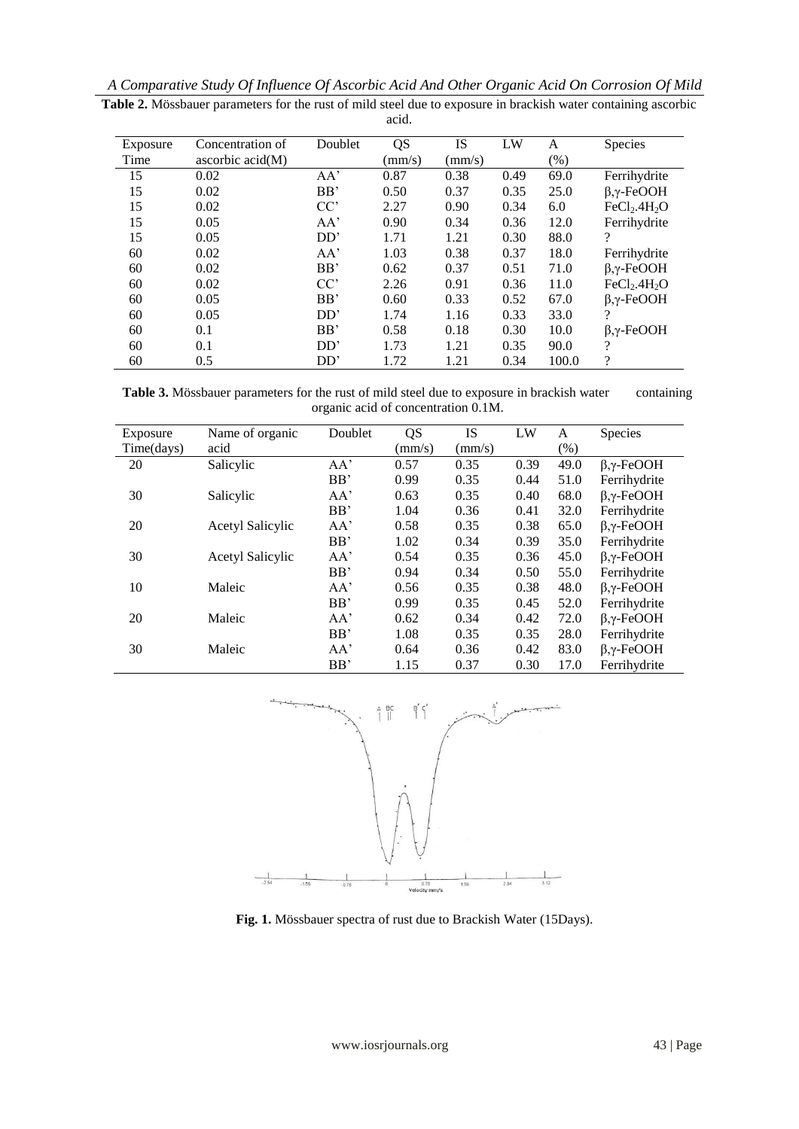| A Comparative Study Of Influence Of Ascorbic Acid And Other Organic Acid On Corrosion Of Mild |  |
|-----------------------------------------------------------------------------------------------|--|
|-----------------------------------------------------------------------------------------------|--|

| Exposure | Concentration of          | Doublet | QS            | IS              | LW   | A      | Species                              |
|----------|---------------------------|---------|---------------|-----------------|------|--------|--------------------------------------|
| Time     | ascorbic $\text{acid}(M)$ |         | $\text{mm/s}$ | $\text{(mm/s)}$ |      | $(\%)$ |                                      |
| 15       | 0.02                      | AA'     | 0.87          | 0.38            | 0.49 | 69.0   | Ferrihydrite                         |
| 15       | 0.02                      | BB'     | 0.50          | 0.37            | 0.35 | 25.0   | $β, γ$ -FeOOH                        |
| 15       | 0.02                      | CC'     | 2.27          | 0.90            | 0.34 | 6.0    | FeCl <sub>2</sub> .4H <sub>2</sub> O |
| 15       | 0.05                      | AA'     | 0.90          | 0.34            | 0.36 | 12.0   | Ferrihydrite                         |
| 15       | 0.05                      | DD'     | 1.71          | 1.21            | 0.30 | 88.0   | $\overline{\mathcal{L}}$             |
| 60       | 0.02                      | AA'     | 1.03          | 0.38            | 0.37 | 18.0   | Ferrihydrite                         |
| 60       | 0.02                      | BB'     | 0.62          | 0.37            | 0.51 | 71.0   | $β, γ$ -FeOOH                        |
| 60       | 0.02                      | CC'     | 2.26          | 0.91            | 0.36 | 11.0   | FeCl <sub>2</sub> .4H <sub>2</sub> O |
| 60       | 0.05                      | BB'     | 0.60          | 0.33            | 0.52 | 67.0   | $\beta$ , $\gamma$ -FeOOH            |
| 60       | 0.05                      | DD'     | 1.74          | 1.16            | 0.33 | 33.0   | 9                                    |
| 60       | 0.1                       | BB'     | 0.58          | 0.18            | 0.30 | 10.0   | $β, γ$ -FeOOH                        |
| 60       | 0.1                       | DD'     | 1.73          | 1.21            | 0.35 | 90.0   | ?                                    |
| 60       | 0.5                       | DD'     | 1.72          | 1.21            | 0.34 | 100.0  | $\gamma$                             |

**Table 2.** Mössbauer parameters for the rust of mild steel due to exposure in brackish water containing ascorbic acid.

Table 3. Mössbauer parameters for the rust of mild steel due to exposure in brackish water containing organic acid of concentration 0.1M.

| Exposure   | Name of organic         | Doublet | QS     | <b>IS</b> | LW   | A    | <b>Species</b> |
|------------|-------------------------|---------|--------|-----------|------|------|----------------|
| Time(days) | acid                    |         | (mm/s) | (mm/s)    |      | (% ) |                |
| 20         | Salicylic               | AA'     | 0.57   | 0.35      | 0.39 | 49.0 | $β, γ$ -FeOOH  |
|            |                         | BB'     | 0.99   | 0.35      | 0.44 | 51.0 | Ferrihydrite   |
| 30         | Salicylic               | AA'     | 0.63   | 0.35      | 0.40 | 68.0 | $β, γ$ -FeOOH  |
|            |                         | BB'     | 1.04   | 0.36      | 0.41 | 32.0 | Ferrihydrite   |
| 20         | <b>Acetyl Salicylic</b> | AA'     | 0.58   | 0.35      | 0.38 | 65.0 | $β, γ$ -FeOOH  |
|            |                         | BB'     | 1.02   | 0.34      | 0.39 | 35.0 | Ferrihydrite   |
| 30         | <b>Acetyl Salicylic</b> | AA'     | 0.54   | 0.35      | 0.36 | 45.0 | $β, γ$ -FeOOH  |
|            |                         | BB'     | 0.94   | 0.34      | 0.50 | 55.0 | Ferrihydrite   |
| 10         | Maleic                  | AA'     | 0.56   | 0.35      | 0.38 | 48.0 | $β, γ$ -FeOOH  |
|            |                         | BB'     | 0.99   | 0.35      | 0.45 | 52.0 | Ferrihydrite   |
| 20         | Maleic                  | AA'     | 0.62   | 0.34      | 0.42 | 72.0 | $β, γ$ -FeOOH  |
|            |                         | BB'     | 1.08   | 0.35      | 0.35 | 28.0 | Ferrihydrite   |
| 30         | Maleic                  | AA'     | 0.64   | 0.36      | 0.42 | 83.0 | $β, γ$ -FeOOH  |
|            |                         | BB'     | 1.15   | 0.37      | 0.30 | 17.0 | Ferrihydrite   |



**Fig. 1.** Mössbauer spectra of rust due to Brackish Water (15Days).